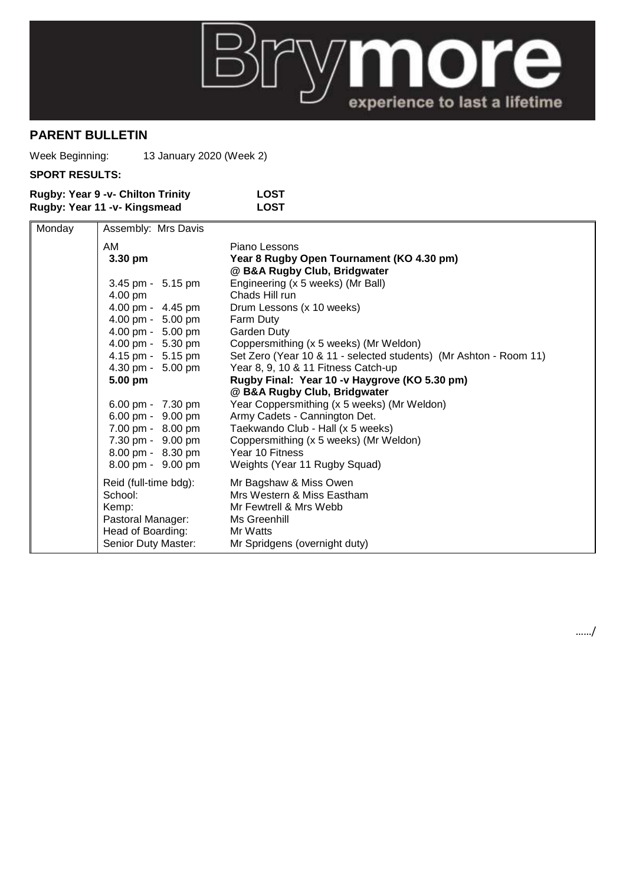

## **PARENT BULLETIN**

Week Beginning: 13 January 2020 (Week 2)

## **SPORT RESULTS:**

| <b>Rugby: Year 9 -v- Chilton Trinity</b> | LOST |
|------------------------------------------|------|
| Rugby: Year 11 -v- Kingsmead             | LOST |

| Monday | Assembly: Mrs Davis   |                                                                   |
|--------|-----------------------|-------------------------------------------------------------------|
|        | AM                    | Piano Lessons                                                     |
|        | 3.30 pm               | Year 8 Rugby Open Tournament (KO 4.30 pm)                         |
|        |                       | @ B&A Rugby Club, Bridgwater                                      |
|        | 3.45 pm - 5.15 pm     | Engineering (x 5 weeks) (Mr Ball)                                 |
|        | 4.00 pm               | Chads Hill run                                                    |
|        | 4.00 pm - 4.45 pm     | Drum Lessons (x 10 weeks)                                         |
|        | 4.00 pm - 5.00 pm     | Farm Duty                                                         |
|        | 4.00 pm - 5.00 pm     | Garden Duty                                                       |
|        | 4.00 pm - 5.30 pm     | Coppersmithing (x 5 weeks) (Mr Weldon)                            |
|        | 4.15 pm - 5.15 pm     | Set Zero (Year 10 & 11 - selected students) (Mr Ashton - Room 11) |
|        | 4.30 pm - 5.00 pm     | Year 8, 9, 10 & 11 Fitness Catch-up                               |
|        | 5.00 pm               | Rugby Final: Year 10 -v Haygrove (KO 5.30 pm)                     |
|        |                       | @ B&A Rugby Club, Bridgwater                                      |
|        | 6.00 pm - 7.30 pm     | Year Coppersmithing (x 5 weeks) (Mr Weldon)                       |
|        | 6.00 pm - 9.00 pm     | Army Cadets - Cannington Det.                                     |
|        | 7.00 pm - 8.00 pm     | Taekwando Club - Hall (x 5 weeks)                                 |
|        | 7.30 pm - 9.00 pm     | Coppersmithing (x 5 weeks) (Mr Weldon)                            |
|        | 8.00 pm - 8.30 pm     | Year 10 Fitness                                                   |
|        | 8.00 pm - 9.00 pm     | Weights (Year 11 Rugby Squad)                                     |
|        | Reid (full-time bdg): | Mr Bagshaw & Miss Owen                                            |
|        | School:               | Mrs Western & Miss Eastham                                        |
|        | Kemp:                 | Mr Fewtrell & Mrs Webb                                            |
|        | Pastoral Manager:     | Ms Greenhill                                                      |
|        | Head of Boarding:     | Mr Watts                                                          |
|        | Senior Duty Master:   | Mr Spridgens (overnight duty)                                     |

……/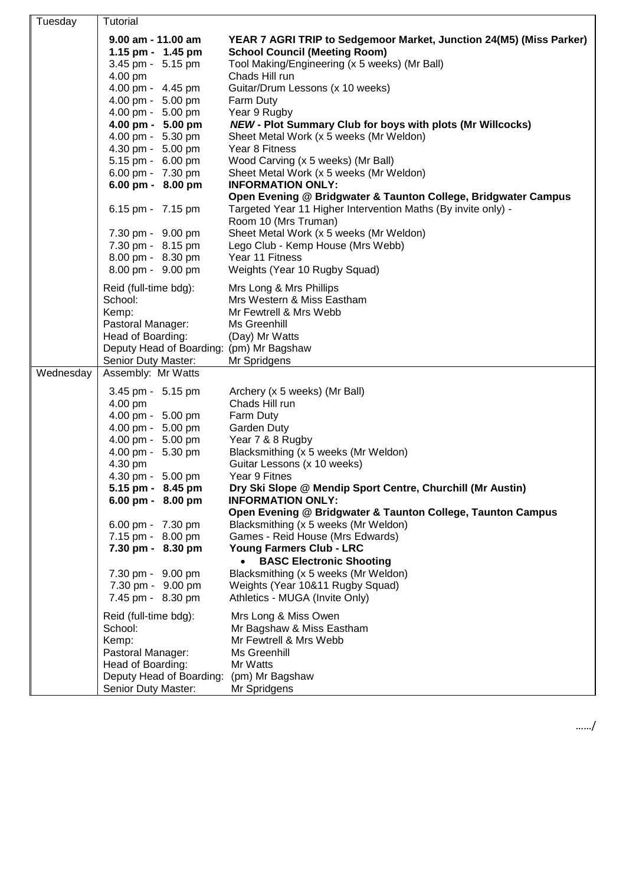| Tuesday   | Tutorial                                 |                                                                     |
|-----------|------------------------------------------|---------------------------------------------------------------------|
|           | 9.00 am - 11.00 am                       | YEAR 7 AGRI TRIP to Sedgemoor Market, Junction 24(M5) (Miss Parker) |
|           | 1.15 pm - 1.45 pm                        | <b>School Council (Meeting Room)</b>                                |
|           | 3.45 pm - 5.15 pm                        | Tool Making/Engineering (x 5 weeks) (Mr Ball)                       |
|           | 4.00 pm                                  | Chads Hill run                                                      |
|           | 4.00 pm - 4.45 pm                        | Guitar/Drum Lessons (x 10 weeks)                                    |
|           | 4.00 pm - 5.00 pm                        | Farm Duty                                                           |
|           | 4.00 pm - 5.00 pm                        | Year 9 Rugby                                                        |
|           | 4.00 pm - 5.00 pm                        | <b>NEW - Plot Summary Club for boys with plots (Mr Willcocks)</b>   |
|           | 4.00 pm - 5.30 pm                        | Sheet Metal Work (x 5 weeks (Mr Weldon)                             |
|           | 4.30 pm - 5.00 pm                        | Year 8 Fitness                                                      |
|           | 5.15 pm - 6.00 pm                        | Wood Carving (x 5 weeks) (Mr Ball)                                  |
|           | 6.00 pm - 7.30 pm                        | Sheet Metal Work (x 5 weeks (Mr Weldon)                             |
|           | 6.00 pm - 8.00 pm                        | <b>INFORMATION ONLY:</b>                                            |
|           |                                          | Open Evening @ Bridgwater & Taunton College, Bridgwater Campus      |
|           | 6.15 pm - 7.15 pm                        | Targeted Year 11 Higher Intervention Maths (By invite only) -       |
|           |                                          | Room 10 (Mrs Truman)                                                |
|           | 7.30 pm - 9.00 pm                        | Sheet Metal Work (x 5 weeks (Mr Weldon)                             |
|           | 7.30 pm - 8.15 pm                        | Lego Club - Kemp House (Mrs Webb)                                   |
|           | 8.00 pm - 8.30 pm                        | Year 11 Fitness                                                     |
|           | 8.00 pm - 9.00 pm                        | Weights (Year 10 Rugby Squad)                                       |
|           | Reid (full-time bdg):                    | Mrs Long & Mrs Phillips                                             |
|           | School:                                  | Mrs Western & Miss Eastham                                          |
|           | Kemp:                                    | Mr Fewtrell & Mrs Webb                                              |
|           | Pastoral Manager:                        | Ms Greenhill                                                        |
|           | Head of Boarding:                        | (Day) Mr Watts                                                      |
|           | Deputy Head of Boarding: (pm) Mr Bagshaw |                                                                     |
|           | Senior Duty Master:                      | Mr Spridgens                                                        |
| Wednesday | Assembly: Mr Watts                       |                                                                     |
|           | 3.45 pm - 5.15 pm                        | Archery (x 5 weeks) (Mr Ball)                                       |
|           | 4.00 pm                                  | Chads Hill run                                                      |
|           | 4.00 pm - 5.00 pm                        | Farm Duty                                                           |
|           | 4.00 pm - 5.00 pm                        | Garden Duty                                                         |
|           | 4.00 pm - 5.00 pm                        | Year 7 & 8 Rugby                                                    |
|           | 4.00 pm - 5.30 pm                        | Blacksmithing (x 5 weeks (Mr Weldon)                                |
|           | 4.30 pm                                  | Guitar Lessons (x 10 weeks)                                         |
|           | 4.30 pm - 5.00 pm                        | Year 9 Fitnes                                                       |
|           | 5.15 pm - 8.45 pm                        | Dry Ski Slope @ Mendip Sport Centre, Churchill (Mr Austin)          |
|           | 6.00 pm - 8.00 pm                        | <b>INFORMATION ONLY:</b>                                            |
|           |                                          | Open Evening @ Bridgwater & Taunton College, Taunton Campus         |
|           | 6.00 pm - 7.30 pm<br>7.15 pm - 8.00 pm   | Blacksmithing (x 5 weeks (Mr Weldon)                                |
|           | 7.30 pm - 8.30 pm                        | Games - Reid House (Mrs Edwards)<br>Young Farmers Club - LRC        |
|           |                                          | <b>BASC Electronic Shooting</b><br>$\bullet$                        |
|           | 7.30 pm - 9.00 pm                        | Blacksmithing (x 5 weeks (Mr Weldon)                                |
|           | 7.30 pm - 9.00 pm                        | Weights (Year 10&11 Rugby Squad)                                    |
|           | 7.45 pm - 8.30 pm                        | Athletics - MUGA (Invite Only)                                      |
|           |                                          |                                                                     |
|           | Reid (full-time bdg):                    | Mrs Long & Miss Owen                                                |
|           | School:                                  | Mr Bagshaw & Miss Eastham                                           |
|           | Kemp:                                    | Mr Fewtrell & Mrs Webb                                              |
|           | Pastoral Manager:                        | Ms Greenhill                                                        |
|           | Head of Boarding:                        | Mr Watts                                                            |
|           | Deputy Head of Boarding:                 | (pm) Mr Bagshaw                                                     |
|           | Senior Duty Master:                      | Mr Spridgens                                                        |

……/